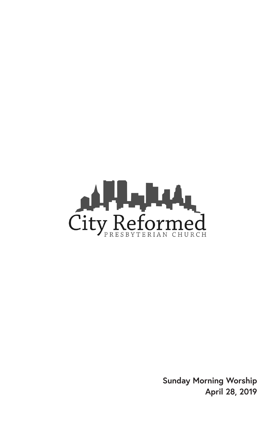

**Sunday Morning Worship April 28, 2019**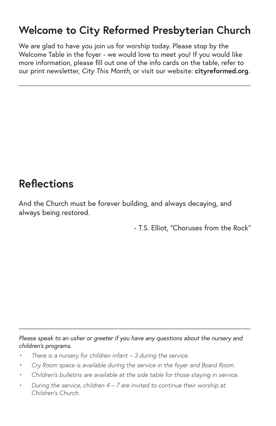### **Welcome to City Reformed Presbyterian Church**

We are glad to have you join us for worship today. Please stop by the Welcome Table in the foyer - we would love to meet you! If you would like more information, please fill out one of the info cards on the table, refer to our print newsletter, *City This Month,* or visit our website: **cityreformed.org**.

### **Reflections**

And the Church must be forever building, and always decaying, and always being restored.

- T.S. Elliot, "Choruses from the Rock"

*Please speak to an usher or greeter if you have any questions about the nursery and children's programs.*

- *• There is a nursery for children infant 3 during the service.*
- *• Cry Room space is available during the service in the foyer and Board Room.*
- *• Children's bulletins are available at the side table for those staying in service.*
- *• During the service, children 4 7 are invited to continue their worship at Children's Church.*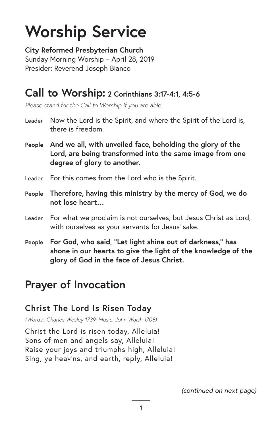# **Worship Service**

**City Reformed Presbyterian Church** Sunday Morning Worship – April 28, 2019 Presider: Reverend Joseph Bianco

#### **Call to Worship: 2 Corinthians 3:17-4:1, 4:5-6**

*Please stand for the Call to Worship if you are able.*

- Leader Now the Lord is the Spirit, and where the Spirit of the Lord is, there is freedom.
- **People And we all, with unveiled face, beholding the glory of the Lord, are being transformed into the same image from one degree of glory to another.**
- Leader For this comes from the Lord who is the Spirit.
- **People Therefore, having this ministry by the mercy of God, we do not lose heart…**
- Leader For what we proclaim is not ourselves, but Jesus Christ as Lord, with ourselves as your servants for Jesus' sake.
- **People For God, who said, "Let light shine out of darkness," has shone in our hearts to give the light of the knowledge of the glory of God in the face of Jesus Christ.**

# **Prayer of Invocation**

#### **Christ The Lord Is Risen Today**

*(Words:: Charles Wesley 1739; Music: John Walsh 1708)*

Christ the Lord is risen today, Alleluia! Sons of men and angels say, Alleluia! Raise your joys and triumphs high, Alleluia! Sing, ye heav'ns, and earth, reply, Alleluia!

*(continued on next page)*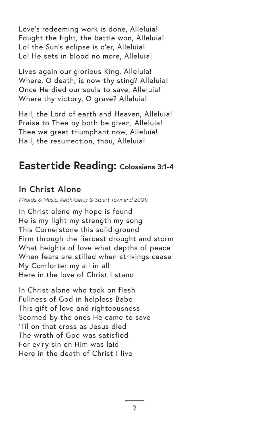Love's redeeming work is done, Alleluia! Fought the fight, the battle won, Alleluia! Lo! the Sun's eclipse is o'er, Alleluia! Lo! He sets in blood no more, Alleluia!

Lives again our glorious King, Alleluia! Where, O death, is now thy sting? Alleluia! Once He died our souls to save, Alleluia! Where thy victory, O grave? Alleluia!

Hail, the Lord of earth and Heaven, Alleluia! Praise to Thee by both be given, Alleluia! Thee we greet triumphant now, Alleluia! Hail, the resurrection, thou, Alleluia!

#### **Eastertide Reading: Colossians 3:1-4**

#### **In Christ Alone**

*(Words & Music: Keith Getty & Stuart Townend 2001)*

In Christ alone my hope is found He is my light my strength my song This Cornerstone this solid ground Firm through the fiercest drought and storm What heights of love what depths of peace When fears are stilled when strivings cease My Comforter my all in all Here in the love of Christ I stand

In Christ alone who took on flesh Fullness of God in helpless Babe This gift of love and righteousness Scorned by the ones He came to save 'Til on that cross as Jesus died The wrath of God was satisfied For ev'ry sin on Him was laid Here in the death of Christ I live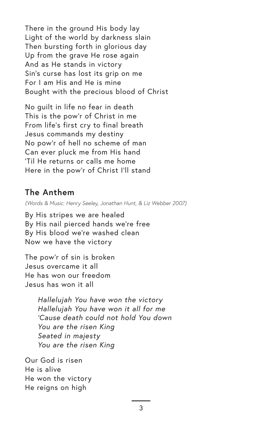There in the ground His body lay Light of the world by darkness slain Then bursting forth in glorious day Up from the grave He rose again And as He stands in victory Sin's curse has lost its grip on me For I am His and He is mine Bought with the precious blood of Christ

No guilt in life no fear in death This is the pow'r of Christ in me From life's first cry to final breath Jesus commands my destiny No pow'r of hell no scheme of man Can ever pluck me from His hand 'Til He returns or calls me home Here in the pow'r of Christ I'll stand

#### **The Anthem**

*(Words & Music: Henry Seeley, Jonathan Hunt, & Liz Webber 2007)*

By His stripes we are healed By His nail pierced hands we're free By His blood we're washed clean Now we have the victory

The pow'r of sin is broken Jesus overcame it all He has won our freedom Jesus has won it all

> *Hallelujah You have won the victory Hallelujah You have won it all for me 'Cause death could not hold You down You are the risen King Seated in majesty You are the risen King*

Our God is risen He is alive He won the victory He reigns on high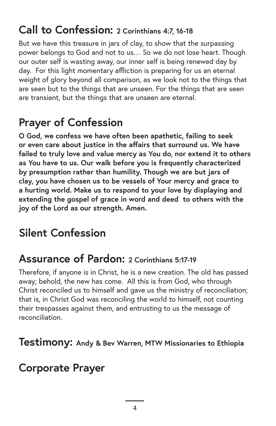### **Call to Confession: 2 Corinthians 4:7, 16-18**

But we have this treasure in jars of clay, to show that the surpassing power belongs to God and not to us… So we do not lose heart. Though our outer self is wasting away, our inner self is being renewed day by day. For this light momentary affliction is preparing for us an eternal weight of glory beyond all comparison, as we look not to the things that are seen but to the things that are unseen. For the things that are seen are transient, but the things that are unseen are eternal.

# **Prayer of Confession**

**O God, we confess we have often been apathetic, failing to seek or even care about justice in the affairs that surround us. We have failed to truly love and value mercy as You do, nor extend it to others as You have to us. Our walk before you is frequently characterized by presumption rather than humility. Though we are but jars of clay, you have chosen us to be vessels of Your mercy and grace to a hurting world. Make us to respond to your love by displaying and extending the gospel of grace in word and deed to others with the joy of the Lord as our strength. Amen.**

# **Silent Confession**

#### **Assurance of Pardon: 2 Corinthians 5:17-19**

Therefore, if anyone is in Christ, he is a new creation. The old has passed away; behold, the new has come. All this is from God, who through Christ reconciled us to himself and gave us the ministry of reconciliation; that is, in Christ God was reconciling the world to himself, not counting their trespasses against them, and entrusting to us the message of reconciliation.

**Testimony: Andy & Bev Warren, MTW Missionaries to Ethiopia**

### **Corporate Prayer**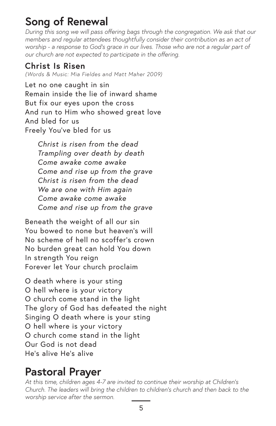# **Song of Renewal**

*During this song we will pass offering bags through the congregation. We ask that our members and regular attendees thoughtfully consider their contribution as an act of worship - a response to God's grace in our lives. Those who are not a regular part of our church are not expected to participate in the offering.*

#### **Christ Is Risen**

*(Words & Music: Mia Fieldes and Matt Maher 2009)*

Let no one caught in sin Remain inside the lie of inward shame But fix our eyes upon the cross And run to Him who showed great love And bled for us Freely You've bled for us

*Christ is risen from the dead Trampling over death by death Come awake come awake Come and rise up from the grave Christ is risen from the dead We are one with Him again Come awake come awake Come and rise up from the grave*

Beneath the weight of all our sin You bowed to none but heaven's will No scheme of hell no scoffer's crown No burden great can hold You down In strength You reign Forever let Your church proclaim

O death where is your sting O hell where is your victory O church come stand in the light The glory of God has defeated the night Singing O death where is your sting O hell where is your victory O church come stand in the light Our God is not dead He's alive He's alive

# **Pastoral Prayer**

*At this time, children ages 4-7 are invited to continue their worship at Children's Church. The leaders will bring the children to children's church and then back to the worship service after the sermon.*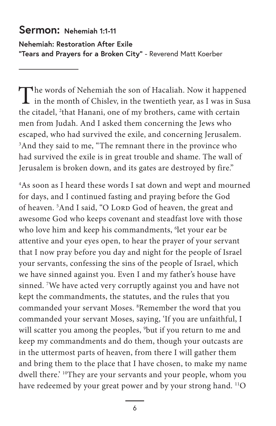#### **Sermon: Nehemiah 1:1-11**

**Nehemiah: Restoration After Exile "Tears and Prayers for a Broken City"** - Reverend Matt Koerber

The words of Nehemiah the son of Hacaliah. Now it happened  $\mathsf{L}\,$  in the month of Chislev, in the twentieth year, as I was in Susa the citadel, <sup>2</sup>that Hanani, one of my brothers, came with certain men from Judah. And I asked them concerning the Jews who escaped, who had survived the exile, and concerning Jerusalem. 3 And they said to me, "The remnant there in the province who had survived the exile is in great trouble and shame. The wall of Jerusalem is broken down, and its gates are destroyed by fire."

4 As soon as I heard these words I sat down and wept and mourned for days, and I continued fasting and praying before the God of heaven. <sup>5</sup>And I said, "O Lorp God of heaven, the great and awesome God who keeps covenant and steadfast love with those who love him and keep his commandments, <sup>6</sup>let your ear be attentive and your eyes open, to hear the prayer of your servant that I now pray before you day and night for the people of Israel your servants, confessing the sins of the people of Israel, which we have sinned against you. Even I and my father's house have sinned. 7 We have acted very corruptly against you and have not kept the commandments, the statutes, and the rules that you commanded your servant Moses. 8 Remember the word that you commanded your servant Moses, saying, 'If you are unfaithful, I will scatter you among the peoples, 9 but if you return to me and keep my commandments and do them, though your outcasts are in the uttermost parts of heaven, from there I will gather them and bring them to the place that I have chosen, to make my name dwell there.' <sup>10</sup>They are your servants and your people, whom you have redeemed by your great power and by your strong hand. <sup>11</sup>O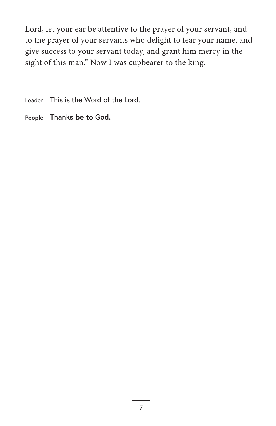Lord, let your ear be attentive to the prayer of your servant, and to the prayer of your servants who delight to fear your name, and give success to your servant today, and grant him mercy in the sight of this man." Now I was cupbearer to the king.

**People Thanks be to God.**

Leader This is the Word of the Lord.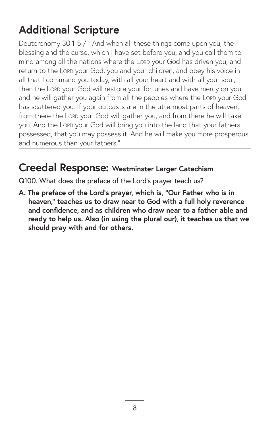# **Additional Scripture**

Deuteronomy 30:1-5 / "And when all these things come upon you, the blessing and the curse, which I have set before you, and you call them to mind among all the nations where the Lord your God has driven you, and return to the Lord your God, you and your children, and obey his voice in all that I command you today, with all your heart and with all your soul, then the Lord your God will restore your fortunes and have mercy on you, and he will gather you again from all the peoples where the Lord your God has scattered you. If your outcasts are in the uttermost parts of heaven, from there the LORD your God will gather you, and from there he will take you. And the LORD your God will bring you into the land that your fathers possessed, that you may possess it. And he will make you more prosperous and numerous than your fathers."

#### **Creedal Response: Westminster Larger Catechism**

Q100. What does the preface of the Lord's prayer teach us?

**A. The preface of the Lord's prayer, which is, "Our Father who is in heaven," teaches us to draw near to God with a full holy reverence and confidence, and as children who draw near to a father able and ready to help us. Also (in using the plural our), it teaches us that we should pray with and for others.**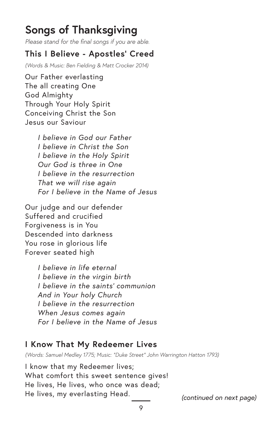# **Songs of Thanksgiving**

*Please stand for the final songs if you are able.*

#### **This I Believe - Apostles' Creed**

*(Words & Music: Ben Fielding & Matt Crocker 2014)*

Our Father everlasting The all creating One God Almighty Through Your Holy Spirit Conceiving Christ the Son Jesus our Saviour

> *I believe in God our Father I believe in Christ the Son I believe in the Holy Spirit Our God is three in One I believe in the resurrection That we will rise again For I believe in the Name of Jesus*

Our judge and our defender Suffered and crucified Forgiveness is in You Descended into darkness You rose in glorious life Forever seated high

> *I believe in life eternal I believe in the virgin birth I believe in the saints' communion And in Your holy Church I believe in the resurrection When Jesus comes again For I believe in the Name of Jesus*

#### **I Know That My Redeemer Lives**

*(Words: Samuel Medley 1775; Music: "Duke Street" John Warrington Hatton 1793)*

I know that my Redeemer lives; What comfort this sweet sentence gives! He lives, He lives, who once was dead; He lives, my everlasting Head. *(continued on next page)*